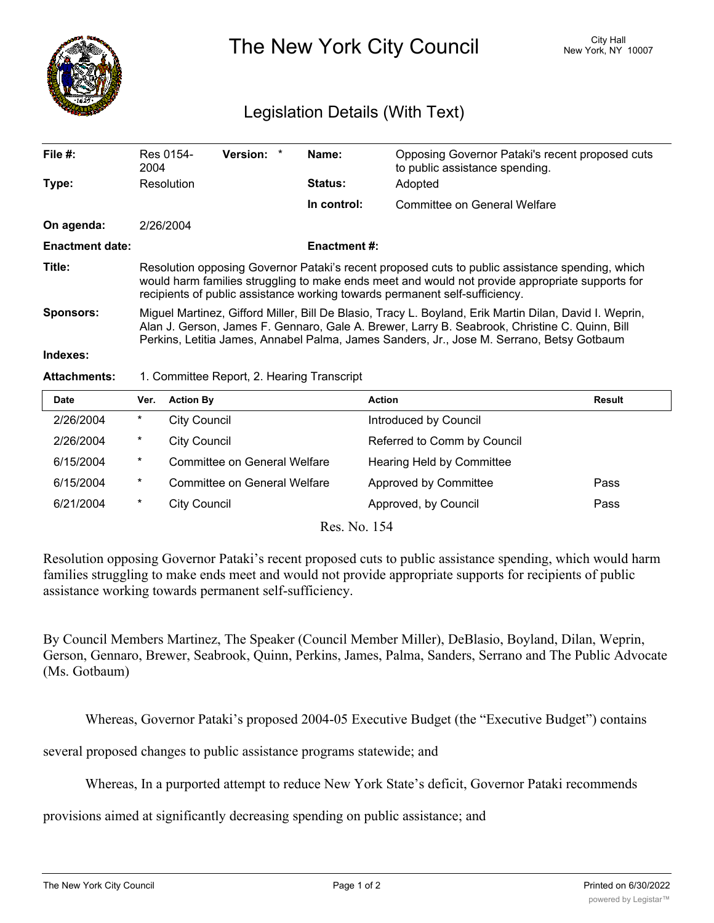

The New York City Council New York, NY 10007

## Legislation Details (With Text)

| File #:                | Res 0154-<br>2004                                                                                                                                                                                                                                                                                    | Version: * |  | Name:               | Opposing Governor Pataki's recent proposed cuts<br>to public assistance spending. |  |  |
|------------------------|------------------------------------------------------------------------------------------------------------------------------------------------------------------------------------------------------------------------------------------------------------------------------------------------------|------------|--|---------------------|-----------------------------------------------------------------------------------|--|--|
| Type:                  | Resolution                                                                                                                                                                                                                                                                                           |            |  | <b>Status:</b>      | Adopted                                                                           |  |  |
|                        |                                                                                                                                                                                                                                                                                                      |            |  | In control:         | Committee on General Welfare                                                      |  |  |
| On agenda:             | 2/26/2004                                                                                                                                                                                                                                                                                            |            |  |                     |                                                                                   |  |  |
| <b>Enactment date:</b> |                                                                                                                                                                                                                                                                                                      |            |  | <b>Enactment #:</b> |                                                                                   |  |  |
| Title:                 | Resolution opposing Governor Pataki's recent proposed cuts to public assistance spending, which<br>would harm families struggling to make ends meet and would not provide appropriate supports for<br>recipients of public assistance working towards permanent self-sufficiency.                    |            |  |                     |                                                                                   |  |  |
| <b>Sponsors:</b>       | Miguel Martinez, Gifford Miller, Bill De Blasio, Tracy L. Boyland, Erik Martin Dilan, David I. Weprin,<br>Alan J. Gerson, James F. Gennaro, Gale A. Brewer, Larry B. Seabrook, Christine C. Quinn, Bill<br>Perkins, Letitia James, Annabel Palma, James Sanders, Jr., Jose M. Serrano, Betsy Gotbaum |            |  |                     |                                                                                   |  |  |
| Indexes:               |                                                                                                                                                                                                                                                                                                      |            |  |                     |                                                                                   |  |  |
| <b>Attachments:</b>    | 1. Committee Report, 2. Hearing Transcript                                                                                                                                                                                                                                                           |            |  |                     |                                                                                   |  |  |

| Date      | Ver.   | <b>Action By</b>                    | Action                           | Result |
|-----------|--------|-------------------------------------|----------------------------------|--------|
| 2/26/2004 | $\ast$ | City Council                        | Introduced by Council            |        |
| 2/26/2004 | $\ast$ | <b>City Council</b>                 | Referred to Comm by Council      |        |
| 6/15/2004 | $\ast$ | <b>Committee on General Welfare</b> | <b>Hearing Held by Committee</b> |        |
| 6/15/2004 | $\ast$ | <b>Committee on General Welfare</b> | Approved by Committee            | Pass   |
| 6/21/2004 | $\ast$ | <b>City Council</b>                 | Approved, by Council             | Pass   |
|           |        |                                     |                                  |        |

Res. No. 154

Resolution opposing Governor Pataki's recent proposed cuts to public assistance spending, which would harm families struggling to make ends meet and would not provide appropriate supports for recipients of public assistance working towards permanent self-sufficiency.

By Council Members Martinez, The Speaker (Council Member Miller), DeBlasio, Boyland, Dilan, Weprin, Gerson, Gennaro, Brewer, Seabrook, Quinn, Perkins, James, Palma, Sanders, Serrano and The Public Advocate (Ms. Gotbaum)

Whereas, Governor Pataki's proposed 2004-05 Executive Budget (the "Executive Budget") contains

several proposed changes to public assistance programs statewide; and

Whereas, In a purported attempt to reduce New York State's deficit, Governor Pataki recommends

provisions aimed at significantly decreasing spending on public assistance; and